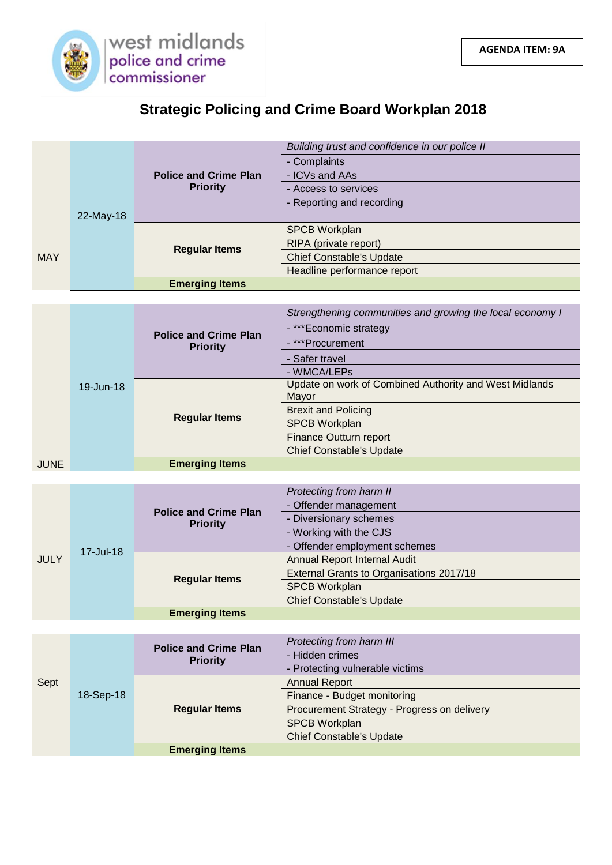

| <b>Strategic Policing and Crime Board Workplan 2018</b> |  |
|---------------------------------------------------------|--|
|---------------------------------------------------------|--|

|             |           |                                                 | Building trust and confidence in our police II                  |
|-------------|-----------|-------------------------------------------------|-----------------------------------------------------------------|
|             |           |                                                 | - Complaints                                                    |
|             |           | <b>Police and Crime Plan</b>                    | - ICVs and AAs                                                  |
|             |           | <b>Priority</b>                                 | - Access to services                                            |
|             |           |                                                 | - Reporting and recording                                       |
|             | 22-May-18 |                                                 |                                                                 |
|             |           | <b>Regular Items</b>                            | <b>SPCB Workplan</b>                                            |
|             |           |                                                 | RIPA (private report)                                           |
| <b>MAY</b>  |           |                                                 | <b>Chief Constable's Update</b>                                 |
|             |           |                                                 | Headline performance report                                     |
|             |           | <b>Emerging Items</b>                           |                                                                 |
|             |           |                                                 |                                                                 |
|             |           | <b>Police and Crime Plan</b><br><b>Priority</b> | Strengthening communities and growing the local economy I       |
|             |           |                                                 | - ***Economic strategy                                          |
|             |           |                                                 | - ***Procurement                                                |
|             |           |                                                 | - Safer travel                                                  |
|             |           |                                                 | - WMCA/LEPs                                                     |
|             | 19-Jun-18 | <b>Regular Items</b>                            | Update on work of Combined Authority and West Midlands<br>Mayor |
|             |           |                                                 | <b>Brexit and Policing</b>                                      |
|             |           |                                                 | <b>SPCB Workplan</b>                                            |
|             |           |                                                 | Finance Outturn report                                          |
|             |           |                                                 | <b>Chief Constable's Update</b>                                 |
| <b>JUNE</b> |           | <b>Emerging Items</b>                           |                                                                 |
|             |           |                                                 |                                                                 |
|             | 17-Jul-18 | <b>Police and Crime Plan</b><br><b>Priority</b> | Protecting from harm II                                         |
|             |           |                                                 | - Offender management                                           |
|             |           |                                                 | - Diversionary schemes                                          |
|             |           |                                                 | - Working with the CJS                                          |
|             |           |                                                 | - Offender employment schemes                                   |
| <b>JULY</b> |           | <b>Regular Items</b>                            | Annual Report Internal Audit                                    |
|             |           |                                                 | <b>External Grants to Organisations 2017/18</b>                 |
|             |           |                                                 | <b>SPCB Workplan</b>                                            |
|             |           | <b>Emerging Items</b>                           | <b>Chief Constable's Update</b>                                 |
|             |           |                                                 |                                                                 |
|             | 18-Sep-18 | <b>Police and Crime Plan</b><br><b>Priority</b> | Protecting from harm III                                        |
|             |           |                                                 | - Hidden crimes                                                 |
|             |           |                                                 | - Protecting vulnerable victims                                 |
| Sept        |           | <b>Regular Items</b>                            | <b>Annual Report</b>                                            |
|             |           |                                                 | Finance - Budget monitoring                                     |
|             |           |                                                 | Procurement Strategy - Progress on delivery                     |
|             |           |                                                 | <b>SPCB Workplan</b>                                            |
|             |           |                                                 | <b>Chief Constable's Update</b>                                 |
|             |           | <b>Emerging Items</b>                           |                                                                 |